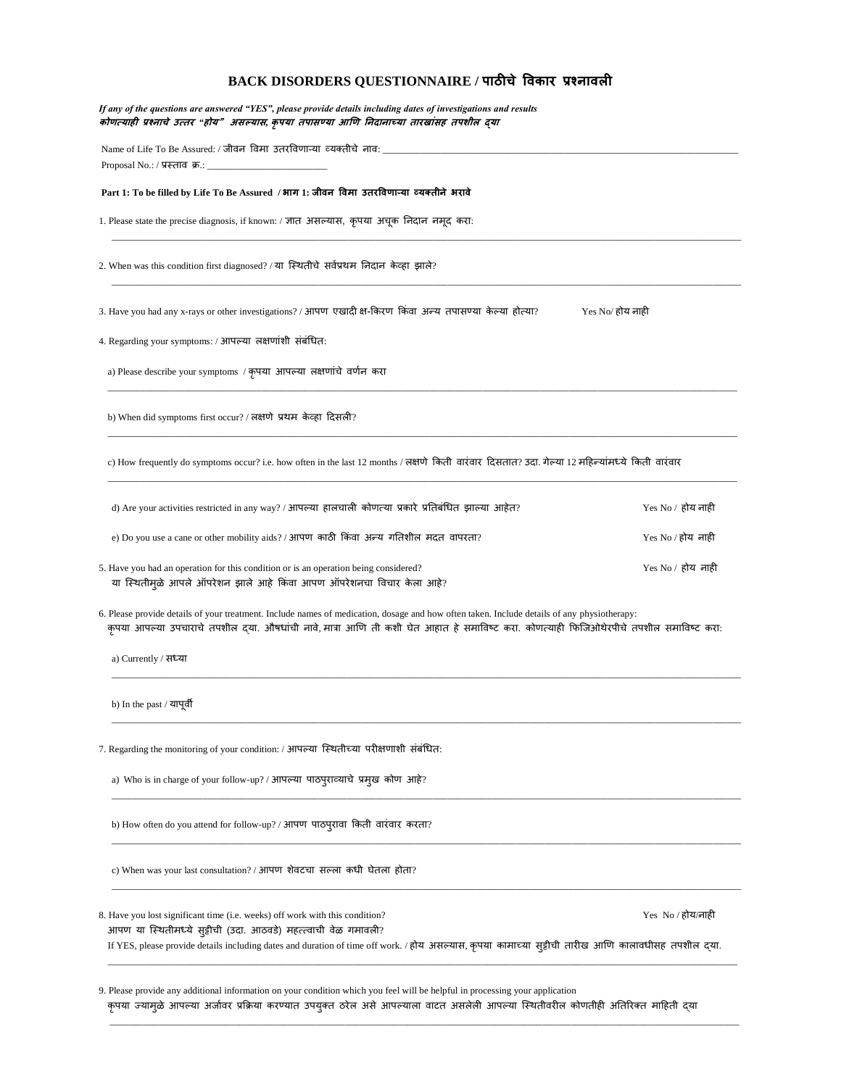## **BACK DISORDERS QUESTIONNAIRE / पाठीचे विकार प्रश्नािली**

| If any of the questions are answered "YES", please provide details including dates of investigations and results<br>कोणत्याही प्रश्नाचे उत्तर "होय" असल्यास, कृपया तपासण्या आणि निदानाच्या तारखांसह तपशील दया                                                                                           |                   |
|---------------------------------------------------------------------------------------------------------------------------------------------------------------------------------------------------------------------------------------------------------------------------------------------------------|-------------------|
| Name of Life To Be Assured: / जीवन विमा उतरविणाऱ्या व्यक्तीचे नाव: _________________________________                                                                                                                                                                                                    |                   |
| Part 1: To be filled by Life To Be Assured / भाग 1: जीवन विमा उतरविणाऱ्या व्यक्तीने भरावे                                                                                                                                                                                                               |                   |
| 1. Please state the precise diagnosis, if known: / ज्ञात असल्यास, कृपया अचूक निदान नमूद करा:                                                                                                                                                                                                            |                   |
| 2. When was this condition first diagnosed? / या स्थितीचे सर्वप्रथम निदान केव्हा झाले?                                                                                                                                                                                                                  |                   |
| 3. Have you had any x-rays or other investigations? / आपण एखादी क्ष-किरण किंवा अन्य तपासण्या केल्या होत्या?                                                                                                                                                                                             | Yes No/ होय नाही  |
| 4. Regarding your symptoms: / आपल्या लक्षणांशी संबंधित:                                                                                                                                                                                                                                                 |                   |
| a) Please describe your symptoms / कृपया आपल्या लक्षणांचे वर्णन करा                                                                                                                                                                                                                                     |                   |
| b) When did symptoms first occur? / लक्षणे प्रथम केव्हा दिसली?                                                                                                                                                                                                                                          |                   |
| c) How frequently do symptoms occur? i.e. how often in the last 12 months / लक्षणे किती वारंवार दिसतात? उदा. गेल्या 12 महिन्यांमध्ये किती वारंवार                                                                                                                                                       |                   |
| d) Are your activities restricted in any way? / आपल्या हालचाली कोणत्या प्रकारे प्रतिबंधित झाल्या आहेत?                                                                                                                                                                                                  | Yes No / होय नाही |
| e) Do you use a cane or other mobility aids? / आपण काठी किंवा अन्य गतिशील मदत वापरता?                                                                                                                                                                                                                   | Yes No / होय नाही |
| 5. Have you had an operation for this condition or is an operation being considered?<br>या स्थितीमुळे आपले ऑपरेशन झाले आहे किंवा आपण ऑपरेशनचा विचार केला आहे?                                                                                                                                           | Yes No / होय नाही |
| 6. Please provide details of your treatment. Include names of medication, dosage and how often taken. Include details of any physiotherapy:<br>कृपया आपल्या उपचाराचे तपशील दया. औषधांची नावे, मात्रा आणि ती कशी घेत आहात हे समाविष्ट करा. कोणत्याही फिजिओथेरपीचे तपशील समाविष्ट करा:                    |                   |
| a) Currently / सध्या                                                                                                                                                                                                                                                                                    |                   |
| b) In the past / यापूर्वी                                                                                                                                                                                                                                                                               |                   |
| 7. Regarding the monitoring of your condition: / आपल्या स्थितीच्या परीक्षणाशी संबंधित:                                                                                                                                                                                                                  |                   |
| a) Who is in charge of your follow-up? / आपल्या पाठपुराव्याचे प्रमुख कोण आहे?                                                                                                                                                                                                                           |                   |
| b) How often do you attend for follow-up? / आपण पाठपुरावा किती वारंवार करता?                                                                                                                                                                                                                            |                   |
| c) When was your last consultation? / आपण शेवटचा सल्ला कधी घेतला होता?                                                                                                                                                                                                                                  |                   |
| 8. Have you lost significant time (i.e. weeks) off work with this condition?<br>आपण या स्थितीमध्ये सुट्टीची (उदा. आठवडे) महत्त्वाची वेळ गमावली?<br>If YES, please provide details including dates and duration of time off work. / होय असल्यास, कृपया कामाच्या सुट्टीची तारीख आणि कालावधीसह तपशील द्या. | Yes No / होय/नाही |
| 9. Please provide any additional information on your condition which you feel will be helpful in processing your application<br>कपया ज्यामले आपल्या अर्जावर प्रकिया करण्यात उपयक्त ठरेल असे आपल्याला वाटत असलेली आपल्या स्थितीवरील कोणतीही अतिरिक्त माहिती दया                                          |                   |

कृपया ज्यामुळ आपल्या अजावर प्राक्रेया करण्यात उपयुक्त ठरेल असे आपल्याला वाटत असलेली आपल्या स्थितीवरील कोणतीही अतिरिक्त माहिती द्**या** \_\_\_\_\_\_\_\_\_\_\_\_\_\_\_\_\_\_\_\_\_\_\_\_\_\_\_\_\_\_\_\_\_\_\_\_\_\_\_\_\_\_\_\_\_\_\_\_\_\_\_\_\_\_\_\_\_\_\_\_\_\_\_\_\_\_\_\_\_\_\_\_\_\_\_\_\_\_\_\_\_\_\_\_\_\_\_\_\_\_\_\_\_\_\_\_\_\_\_\_\_\_\_\_\_\_\_\_\_\_\_\_\_\_\_\_\_\_\_\_\_\_\_\_\_\_\_\_\_\_\_